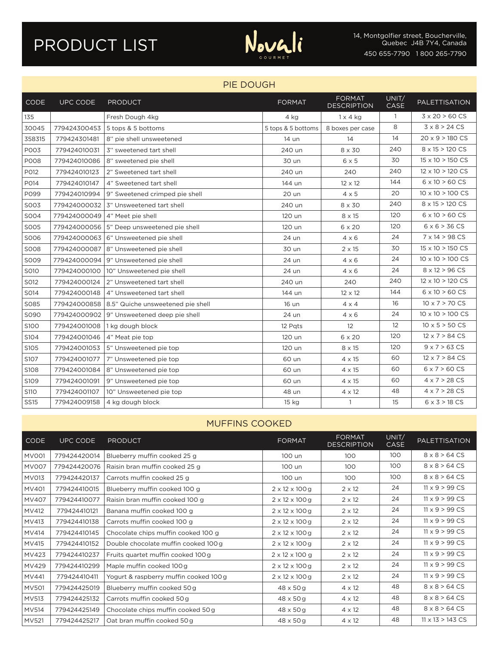# PRODUCT LIST



#### PIE DOUGH

| <b>CODE</b> | UPC CODE     | <b>PRODUCT</b>                               | <b>FORMAT</b>      | <b>FORMAT</b><br><b>DESCRIPTION</b> | UNIT/<br>CASE | <b>PALETTISATION</b>            |
|-------------|--------------|----------------------------------------------|--------------------|-------------------------------------|---------------|---------------------------------|
| 135         |              | Fresh Dough 4kg                              | 4 kg               | $1 \times 4$ kg                     | $\mathbf{1}$  | $3 \times 20 > 60 \text{ CS}$   |
| 30045       | 779424300453 | 5 tops & 5 bottoms                           | 5 tops & 5 bottoms | 8 boxes per case                    | 8             | $3 \times 8 > 24$ CS            |
| 358315      | 779424301481 | 8" pie shell unsweetened                     | 14 un              | 14                                  | 14            | $20 \times 9 > 180 \text{ CS}$  |
| P003        | 779424010031 | 3" sweetened tart shell                      | 240 un             | 8 x 30                              | 240           | 8 x 15 > 120 CS                 |
| <b>PO08</b> | 779424010086 | 8" sweetened pie shell                       | 30 un              | $6 \times 5$                        | 30            | $15 \times 10 > 150 \text{ CS}$ |
| P012        | 779424010123 | 2" Sweetened tart shell                      | 240 un             | 240                                 | 240           | $12 \times 10 > 120 \text{ CS}$ |
| P014        | 779424010147 | 4" Sweetened tart shell                      | 144 un             | $12 \times 12$                      | 144           | $6 \times 10 > 60 \text{ CS}$   |
| P099        | 779424010994 | 9" Sweetened crimped pie shell               | 20 un              | $4 \times 5$                        | 20            | $10 \times 10 > 100 \text{ CS}$ |
| S003        | 779424000032 | 3" Unsweetened tart shell                    | 240 un             | 8 x 30                              | 240           | 8 x 15 > 120 CS                 |
| S004        | 779424000049 | 4" Meet pie shell                            | 120 un             | 8 x 15                              | 120           | $6 \times 10 > 60 \text{ CS}$   |
| S005        |              | 779424000056 5" Deep unsweetened pie shell   | 120 un             | 6 x 20                              | 120           | $6 \times 6 > 36 CS$            |
| SO06        |              | 779424000063 6" Unsweetened pie shell        | 24 un              | $4 \times 6$                        | 24            | $7 \times 14 > 98 \text{ CS}$   |
| <b>SO08</b> | 779424000087 | 8" Unsweetened pie shell                     | 30 un              | $2 \times 15$                       | 30            | $15 \times 10 > 150 \text{ CS}$ |
| S009        |              | 779424000094 9" Unsweetened pie shell        | 24 un              | $4 \times 6$                        | 24            | $10 \times 10 > 100 \text{ CS}$ |
| S010        | 779424000100 | 10" Unsweetened pie shell                    | 24 un              | $4 \times 6$                        | 24            | $8 \times 12 > 96 CS$           |
| S012        | 779424000124 | 2" Unsweetened tart shell                    | 240 un             | 240                                 | 240           | $12 \times 10 > 120 \text{ CS}$ |
| S014        | 779424000148 | 4" Unsweetened tart shell                    | 144 un             | $12 \times 12$                      | 144           | $6 \times 10 > 60 \text{ CS}$   |
| S085        | 779424000858 | 8.5" Quiche unsweetened pie shell            | 16 un              | $4 \times 4$                        | 16            | $10 \times 7 > 70 \text{ CS}$   |
| S090        |              | 779424000902   9" Unsweetened deep pie shell | 24 un              | $4 \times 6$                        | 24            | $10 \times 10 > 100 \text{ CS}$ |
| S100        | 779424001008 | 1 kg dough block                             | 12 Pats            | $12 \overline{ }$                   | 12            | $10 \times 5 > 50 \text{ CS}$   |
| S104        | 779424001046 | 4" Meat pie top                              | 120 un             | 6 x 20                              | 120           | $12 \times 7 > 84 \text{ CS}$   |
| S105        | 779424001053 | 5" Unsweetened pie top                       | 120 un             | 8 x 15                              | 120           | $9 \times 7 > 63 \text{ CS}$    |
| S107        | 779424001077 | 7" Unsweetened pie top                       | 60 un              | 4 x 15                              | 60            | $12 \times 7 > 84 \text{ CS}$   |
| S108        | 779424001084 | 8" Unsweetened pie top                       | 60 un              | $4 \times 15$                       | 60            | $6 \times 7 > 60 \text{ CS}$    |
| S109        | 779424001091 | 9" Unsweetened pie top                       | 60 un              | 4 x 15                              | 60            | $4 \times 7 > 28 \text{ CS}$    |
| <b>S110</b> | 779424001107 | 10" Unsweetened pie top                      | 48 un              | $4 \times 12$                       | 48            | $4 \times 7 > 28 \text{ CS}$    |
| <b>SS15</b> | 779424009158 | 4 kg dough block                             | 15 kg              | $\mathbf{1}$                        | 15            | $6 \times 3 > 18 \text{ CS}$    |

#### MUFFINS COOKED

| <b>CODE</b>  | <b>UPC CODE</b> | <b>PRODUCT</b>                        | <b>FORMAT</b>              | <b>FORMAT</b><br><b>DESCRIPTION</b> | UNIT/<br><b>CASE</b> | <b>PALETTISATION</b>            |
|--------------|-----------------|---------------------------------------|----------------------------|-------------------------------------|----------------------|---------------------------------|
| <b>MV001</b> | 779424420014    | Blueberry muffin cooked 25 g          | 100 un                     | 100                                 | 100                  | $8 \times 8 > 64 CS$            |
| MV007        | 779424420076    | Raisin bran muffin cooked 25 g        | 100 un                     | 100                                 | 100                  | $8 \times 8 > 64 CS$            |
| MV013        | 779424420137    | Carrots muffin cooked 25 g            | 100 un                     | 100                                 | 100                  | $8 \times 8 > 64 \text{ CS}$    |
| MV401        | 779424410015    | Blueberry muffin cooked 100 g         | $2 \times 12 \times 100$ g | $2 \times 12$                       | 24                   | $11 \times 9 > 99 \text{ CS}$   |
| <b>MV407</b> | 779424410077    | Raisin bran muffin cooked 100 g       | $2 \times 12 \times 100$ g | $2 \times 12$                       | 24                   | $11 \times 9 > 99 \text{ CS}$   |
| MV412        | 779424410121    | Banana muffin cooked 100 g            | $2 \times 12 \times 100$ g | $2 \times 12$                       | 24                   | $11 \times 9 > 99 \text{ CS}$   |
| MV413        | 779424410138    | Carrots muffin cooked 100 g           | $2 \times 12 \times 100$ g | $2 \times 12$                       | 24                   | $11 \times 9 > 99 \text{ CS}$   |
| MV414        | 779424410145    | Chocolate chips muffin cooked 100 g   | $2 \times 12 \times 100$ g | $2 \times 12$                       | 24                   | $11 \times 9 > 99 \text{ CS}$   |
| MV415        | 779424410152    | Double chocolate muffin cooked 100 g  | $2 \times 12 \times 100$ g | $2 \times 12$                       | 24                   | $11 \times 9 > 99 \text{ CS}$   |
| MV423        | 779424410237    | Fruits quartet muffin cooked 100 g    | $2 \times 12 \times 100$ g | $2 \times 12$                       | 24                   | $11 \times 9 > 99 \text{ CS}$   |
| MV429        | 779424410299    | Maple muffin cooked 100 g             | $2 \times 12 \times 100$ g | $2 \times 12$                       | 24                   | $11 \times 9 > 99 \text{ CS}$   |
| MV441        | 779424410411    | Yogurt & raspberry muffin cooked 100g | $2 \times 12 \times 100$ g | $2 \times 12$                       | 24                   | $11 \times 9 > 99 \text{ CS}$   |
| MV501        | 779424425019    | Blueberry muffin cooked 50 g          | $48 \times 50$ g           | 4 x 12                              | 48                   | $8 \times 8 > 64$ CS            |
| MV513        | 779424425132    | Carrots muffin cooked 50 g            | $48 \times 50$ g           | 4 x 12                              | 48                   | $8 \times 8 > 64 CS$            |
| MV514        | 779424425149    | Chocolate chips muffin cooked 50 g    | $48 \times 50$ g           | 4 x 12                              | 48                   | $8 \times 8 > 64 \text{ CS}$    |
| MV521        | 779424425217    | Oat bran muffin cooked 50 g           | $48 \times 50$ g           | 4 x 12                              | 48                   | $11 \times 13 > 143 \text{ CS}$ |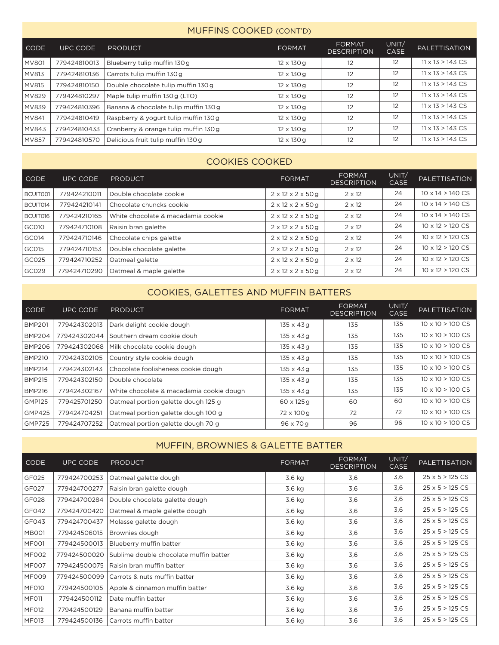#### MUFFINS COOKED (CONT'D)

| l CODE       | UPC CODE     | <b>PRODUCT</b>                        | <b>FORMAT</b>     | <b>FORMAT</b><br><b>DESCRIPTION</b> | UNIT/<br><b>CASE</b> | <b>PALETTISATION</b>            |
|--------------|--------------|---------------------------------------|-------------------|-------------------------------------|----------------------|---------------------------------|
| <b>MV801</b> | 779424810013 | Blueberry tulip muffin 130 g          | $12 \times 130$ g | 12                                  | 12                   | $11 \times 13 > 143 \text{ CS}$ |
| MV813        | 779424810136 | Carrots tulip muffin 130 g            | $12 \times 130$ g | 12                                  | 12                   | $11 \times 13 > 143 \text{ CS}$ |
| MV815        | 779424810150 | Double chocolate tulip muffin 130 g   | $12 \times 130$ g | 12                                  | 12                   | $11 \times 13 > 143 \text{ CS}$ |
| <b>MV829</b> | 779424810297 | Maple tulip muffin 130 g (LTO)        | $12 \times 130$ g | 12                                  | 12                   | $11 \times 13 > 143 \text{ CS}$ |
| <b>MV839</b> | 779424810396 | Banana & chocolate tulip muffin 130 g | $12 \times 130$ g | 12                                  | 12                   | $11 \times 13 > 143 \text{ CS}$ |
| MV841        | 779424810419 | Raspberry & yogurt tulip muffin 130g  | $12 \times 130$ g | 12                                  | 12                   | $11 \times 13 > 143 \text{ CS}$ |
| MV843        | 779424810433 | Cranberry & orange tulip muffin 130 g | $12 \times 130$ g | 12                                  | 12                   | $11 \times 13 > 143 \text{ CS}$ |
| <b>MV857</b> | 779424810570 | Delicious fruit tulip muffin 130 g    | $12 \times 130$ g | 12                                  | 12                   | $11 \times 13 > 143 \text{ CS}$ |

### COOKIES COOKED

| <b>CODE</b> | <b>UPC CODE</b> | <b>PRODUCT</b>                     | <b>FORMAT</b>                      | <b>FORMAT</b><br><b>DESCRIPTION</b> | UNIT/<br><b>CASE</b> | <b>PALETTISATION</b>            |
|-------------|-----------------|------------------------------------|------------------------------------|-------------------------------------|----------------------|---------------------------------|
| BCUITO01    | 779424210011    | Double chocolate cookie            | $2 \times 12 \times 2 \times 50$ g | $2 \times 12$                       | 24                   | $10 \times 14 > 140 \text{ CS}$ |
| BCUIT014    | 779424210141    | Chocolate chuncks cookie           | $2 \times 12 \times 2 \times 50$ g | $2 \times 12$                       | 24                   | $10 \times 14 > 140 \text{ CS}$ |
| BCUIT016    | 779424210165    | White chocolate & macadamia cookie | $2 \times 12 \times 2 \times 50$ g | $2 \times 12$                       | 24                   | $10 \times 14 > 140 \text{ CS}$ |
| GC010       | 779424710108    | Raisin bran galette                | $2 \times 12 \times 2 \times 50$ g | $2 \times 12$                       | 24                   | $10 \times 12 > 120 \text{ CS}$ |
| GC014       | 779424710146    | Chocolate chips galette            | $2 \times 12 \times 2 \times 50$ g | $2 \times 12$                       | 24                   | $10 \times 12 > 120 \text{ CS}$ |
| GC015       | 779424710153    | Double chocolate galette           | $2 \times 12 \times 2 \times 50$ g | $2 \times 12$                       | 24                   | $10 \times 12 > 120 \text{ CS}$ |
| GC025       | 779424710252    | Oatmeal galette                    | $2 \times 12 \times 2 \times 50$ g | $2 \times 12$                       | 24                   | $10 \times 12 > 120 \text{ CS}$ |
| GC029       | 779424710290    | Oatmeal & maple galette            | $2 \times 12 \times 2 \times 50$ g | $2 \times 12$                       | 24                   | $10 \times 12 > 120 \text{ CS}$ |

## COOKIES, GALETTES AND MUFFIN BATTERS

| <b>CODE</b>   | UPC CODE     | <b>PRODUCT</b>                           | <b>FORMAT</b>     | FORMAT<br><b>DESCRIPTION</b> | UNIT/<br>CASE | <b>PALETTISATION</b>            |
|---------------|--------------|------------------------------------------|-------------------|------------------------------|---------------|---------------------------------|
| <b>BMP201</b> | 779424302013 | Dark delight cookie dough                | $135 \times 43$ g | 135                          | 135           | $10 \times 10 > 100 \text{ CS}$ |
| <b>BMP204</b> | 779424302044 | Southern dream cookie douh               | $135 \times 43$ g | 135                          | 135           | $10 \times 10 > 100 \text{ CS}$ |
| <b>BMP206</b> | 779424302068 | Milk chocolate cookie dough              | $135 \times 43$ g | 135                          | 135           | $10 \times 10 > 100 \text{ CS}$ |
| <b>BMP210</b> | 779424302105 | Country style cookie dough               | $135 \times 43$ g | 135                          | 135           | $10 \times 10 > 100 \text{ CS}$ |
| <b>BMP214</b> | 779424302143 | Chocolate foolisheness cookie dough      | $135 \times 43$ g | 135                          | 135           | $10 \times 10 > 100 \text{ CS}$ |
| <b>BMP215</b> | 779424302150 | Double chocolate                         | 135 x 43 g        | 135                          | 135           | $10 \times 10 > 100 \text{ CS}$ |
| <b>BMP216</b> | 779424302167 | White chocolate & macadamia cookie dough | $135 \times 43$ g | 135                          | 135           | $10 \times 10 > 100 \text{ CS}$ |
| <b>GMP125</b> | 779425701250 | Oatmeal portion galette dough 125 g      | $60 \times 125$ a | 60                           | 60            | $10 \times 10 > 100 \text{ CS}$ |
| <b>GMP425</b> | 779424704251 | Oatmeal portion galette dough 100 g      | 72 x 100 g        | 72                           | 72            | $10 \times 10 > 100 \text{ CS}$ |
| <b>GMP725</b> | 779424707252 | Oatmeal portion galette dough 70 g       | 96 x 70 g         | 96                           | 96            | $10 \times 10 > 100 \text{ CS}$ |

## MUFFIN, BROWNIES & GALETTE BATTER

| <b>CODE</b>       | UPC CODE     | <b>PRODUCT</b>                         | <b>FORMAT</b> | <b>FORMAT</b><br><b>DESCRIPTION</b> | UNIT/<br><b>CASE</b> | <b>PALETTISATION</b>           |
|-------------------|--------------|----------------------------------------|---------------|-------------------------------------|----------------------|--------------------------------|
| GF025             | 779424700253 | Oatmeal galette dough                  | 3.6 kg        | 3,6                                 | 3,6                  | $25 \times 5 > 125 \text{ CS}$ |
| GFO <sub>27</sub> | 779424700277 | Raisin bran galette dough              | 3.6 kg        | 3,6                                 | 3,6                  | $25 \times 5 > 125 \text{ CS}$ |
| <b>GF028</b>      | 779424700284 | Double chocolate galette dough         | 3.6 kg        | 3,6                                 | 3,6                  | $25 \times 5 > 125 \text{ CS}$ |
| GF042             | 779424700420 | Oatmeal & maple galette dough          | 3.6 kg        | 3,6                                 | 3,6                  | $25 \times 5 > 125 \text{ CS}$ |
| GF043             | 779424700437 | Molasse galette dough                  | 3.6 kg        | 3,6                                 | 3,6                  | $25 \times 5 > 125 \text{ CS}$ |
| <b>MB001</b>      | 779424506015 | Brownies dough                         | 3.6 kg        | 3,6                                 | 3,6                  | $25 \times 5 > 125 \text{ CS}$ |
| MFO01             | 779424500013 | Blueberry muffin batter                | 3.6 kg        | 3,6                                 | 3,6                  | $25 \times 5 > 125 \text{ CS}$ |
| MF002             | 779424500020 | Sublime double chocolate muffin batter | 3.6 kg        | 3,6                                 | 3,6                  | $25 \times 5 > 125 \text{ CS}$ |
| MF007             | 779424500075 | Raisin bran muffin batter              | 3.6 kg        | 3,6                                 | 3,6                  | $25 \times 5 > 125 \text{ CS}$ |
| MF009             | 779424500099 | Carrots & nuts muffin batter           | 3.6 kg        | 3,6                                 | 3,6                  | $25 \times 5 > 125 \text{ CS}$ |
| MF010             | 779424500105 | Apple & cinnamon muffin batter         | 3.6 kg        | 3,6                                 | 3,6                  | $25 \times 5 > 125 \text{ CS}$ |
| MF011             | 779424500112 | Date muffin batter                     | 3.6 kg        | 3,6                                 | 3,6                  | $25 \times 5 > 125 \text{ CS}$ |
| MF012             | 779424500129 | Banana muffin batter                   | 3.6 kg        | 3,6                                 | 3,6                  | $25 \times 5 > 125 \text{ CS}$ |
| MF013             | 779424500136 | Carrots muffin batter                  | 3.6 kg        | 3,6                                 | 3,6                  | $25 \times 5 > 125 \text{ CS}$ |